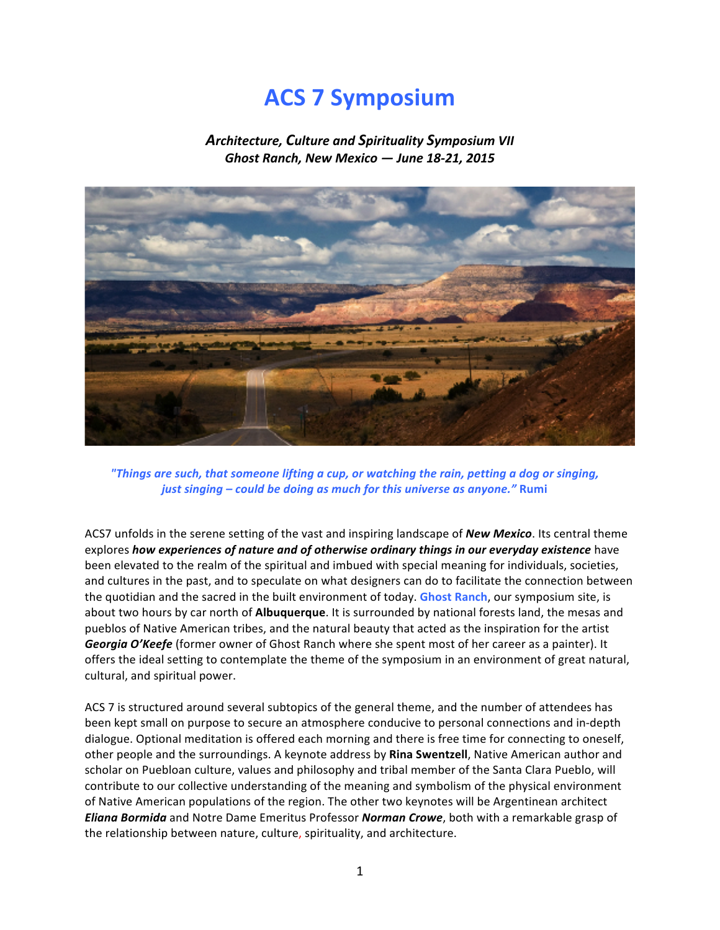# **ACS 7 Symposium**

Architecture, Culture and Spirituality Symposium VII *Ghost!Ranch,!New!Mexico!—!June!18B21,!2015*



*"Things are such, that someone lifting a cup, or watching the rain, petting a dog or singing, just singing – could be doing as much for this universe as anyone."* Rumi

ACS7 unfolds in the serene setting of the vast and inspiring landscape of **New Mexico**. Its central theme explores *how experiences of nature and of otherwise ordinary things in our everyday existence* have been elevated to the realm of the spiritual and imbued with special meaning for individuals, societies, and cultures in the past, and to speculate on what designers can do to facilitate the connection between the quotidian and the sacred in the built environment of today. Ghost Ranch, our symposium site, is about two hours by car north of **Albuquerque**. It is surrounded by national forests land, the mesas and pueblos of Native American tribes, and the natural beauty that acted as the inspiration for the artist **Georgia O'Keefe** (former owner of Ghost Ranch where she spent most of her career as a painter). It offers the ideal setting to contemplate the theme of the symposium in an environment of great natural, cultural, and spiritual power.

ACS 7 is structured around several subtopics of the general theme, and the number of attendees has been kept small on purpose to secure an atmosphere conducive to personal connections and in-depth dialogue. Optional meditation is offered each morning and there is free time for connecting to oneself, other people and the surroundings. A keynote address by Rina Swentzell, Native American author and scholar on Puebloan culture, values and philosophy and tribal member of the Santa Clara Pueblo, will contribute to our collective understanding of the meaning and symbolism of the physical environment of Native American populations of the region. The other two keynotes will be Argentinean architect *Eliana Bormida* and Notre Dame Emeritus Professor **Norman Crowe**, both with a remarkable grasp of the relationship between nature, culture, spirituality, and architecture.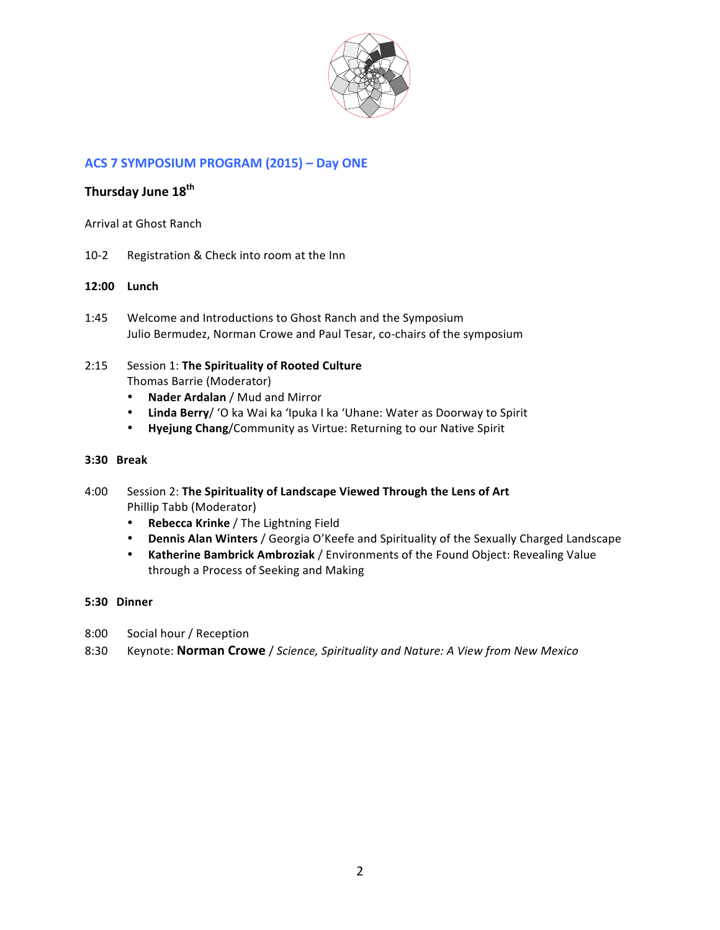

# **ACS 7 SYMPOSIUM PROGRAM (2015) – Day ONE**

# **Thursday\$June\$18th**

Arrival at Ghost Ranch

10-2 Registration & Check into room at the Inn

### **12:00 Lunch\$**

1:45 Welcome and Introductions to Ghost Ranch and the Symposium Julio Bermudez, Norman Crowe and Paul Tesar, co-chairs of the symposium

# 2:15 Session 1: The Spirituality of Rooted Culture Thomas Barrie (Moderator)

- **Nader Ardalan** / Mud and Mirror
- Linda Berry/ 'O ka Wai ka 'Ipuka I ka 'Uhane: Water as Doorway to Spirit
- **Hyejung Chang/Community as Virtue: Returning to our Native Spirit**

### **3:30 Break**

- 4:00 Session 2: The Spirituality of Landscape Viewed Through the Lens of Art Phillip Tabb (Moderator)
	- Rebecca Krinke / The Lightning Field
	- **Dennis Alan Winters** / Georgia O'Keefe and Spirituality of the Sexually Charged Landscape
	- **Katherine Bambrick Ambroziak** / Environments of the Found Object: Revealing Value through a Process of Seeking and Making

### **5:30 Dinner**

- 8:00 Social hour / Reception
- 8:30 Keynote: **Norman Crowe** / *Science, Spirituality and Nature: A View from New Mexico*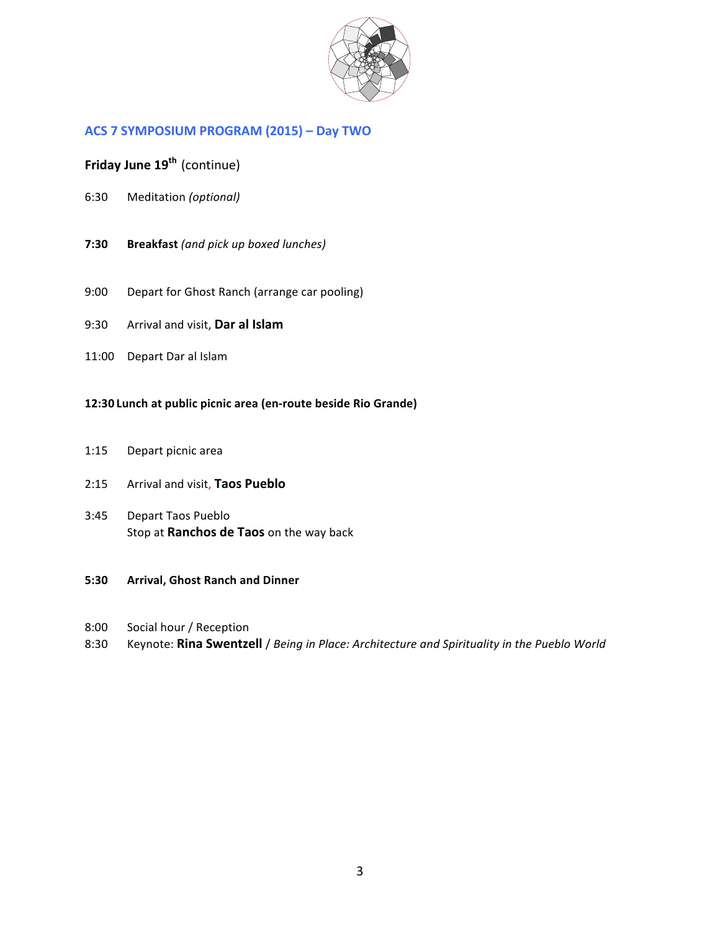

# **ACS 7 SYMPOSIUM PROGRAM (2015) – Day TWO**

# **Friday June 19<sup>th</sup> (continue)**

- 6:30 Meditation"*(optional)*
- **7:30 Breakfast** (and pick up boxed lunches)
- 9:00 Depart for Ghost Ranch (arrange car pooling)
- 9:30 Arrival and visit, **Dar al Islam**
- 11:00 Depart Dar al Islam

# 12:30 Lunch at public picnic area (en-route beside Rio Grande)

1:15 Depart picnic area

### 2:15 Arrival and visit, Taos Pueblo

- 3:45 Depart Taos Pueblo Stop at **Ranchos de Taos** on the way back
- **5:30 Arrival, Ghost Ranch and Dinner**
- 8:00 Social hour / Reception
- 8:30 Keynote: Rina Swentzell / *Being in Place: Architecture and Spirituality in the Pueblo World*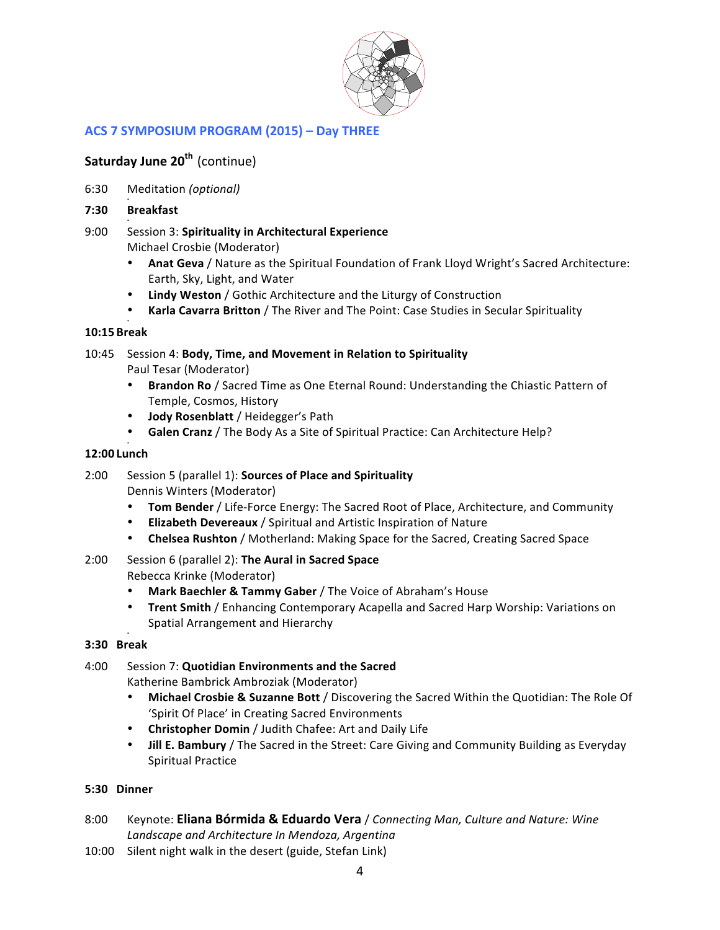

# **ACS 7 SYMPOSIUM PROGRAM (2015) - Day THREE**

# **Saturday June 20<sup>th</sup> (continue)**

- 6:30 Meditation"*(optional)*
- **7:30 Breakfast\$**
- 9:00 Session 3: **Spirituality in Architectural Experience** Michael Crosbie (Moderator)
	- **Anat Geva** / Nature as the Spiritual Foundation of Frank Lloyd Wright's Sacred Architecture: Earth, Sky, Light, and Water
	- Lindy Weston / Gothic Architecture and the Liturgy of Construction
	- Karla Cavarra Britton / The River and The Point: Case Studies in Secular Spirituality

#### • **10:15 Break**

- 10:45 Session 4: **Body, Time, and Movement in Relation to Spirituality** Paul Tesar (Moderator)
	- **Brandon Ro** / Sacred Time as One Eternal Round: Understanding the Chiastic Pattern of Temple, Cosmos, History
	- **Jody Rosenblatt** / Heidegger's Path
	- Galen Cranz / The Body As a Site of Spiritual Practice: Can Architecture Help?

# **12:00 Lunch\$**

•

- 2:00 Session 5 (parallel 1): **Sources of Place and Spirituality** Dennis Winters (Moderator)
	- **Tom Bender** / Life-Force Energy: The Sacred Root of Place, Architecture, and Community
	- **Elizabeth Devereaux** / Spiritual and Artistic Inspiration of Nature
	- **Chelsea Rushton** / Motherland: Making Space for the Sacred, Creating Sacred Space
- 2:00 Session 6 (parallel 2): **The Aural in Sacred Space** Rebecca Krinke (Moderator)
	- Mark Baechler & Tammy Gaber / The Voice of Abraham's House
	- **Trent Smith / Enhancing Contemporary Acapella and Sacred Harp Worship: Variations on** Spatial Arrangement and Hierarchy

#### • **3:30 Break**

### 4:00 Session 7: Quotidian Environments and the Sacred Katherine Bambrick Ambroziak (Moderator)

- Michael Crosbie & Suzanne Bott / Discovering the Sacred Within the Quotidian: The Role Of 'Spirit Of Place' in Creating Sacred Environments
- **Christopher Domin / Judith Chafee: Art and Daily Life**
- **Jill E. Bambury** / The Sacred in the Street: Care Giving and Community Building as Everyday Spiritual Practice

# **5:30 Dinner**

- 8:00 Keynote: Eliana Bórmida & Eduardo Vera / *Connecting Man, Culture and Nature: Wine* Landscape and Architecture In Mendoza, Argentina
- 10:00 Silent night walk in the desert (guide, Stefan Link)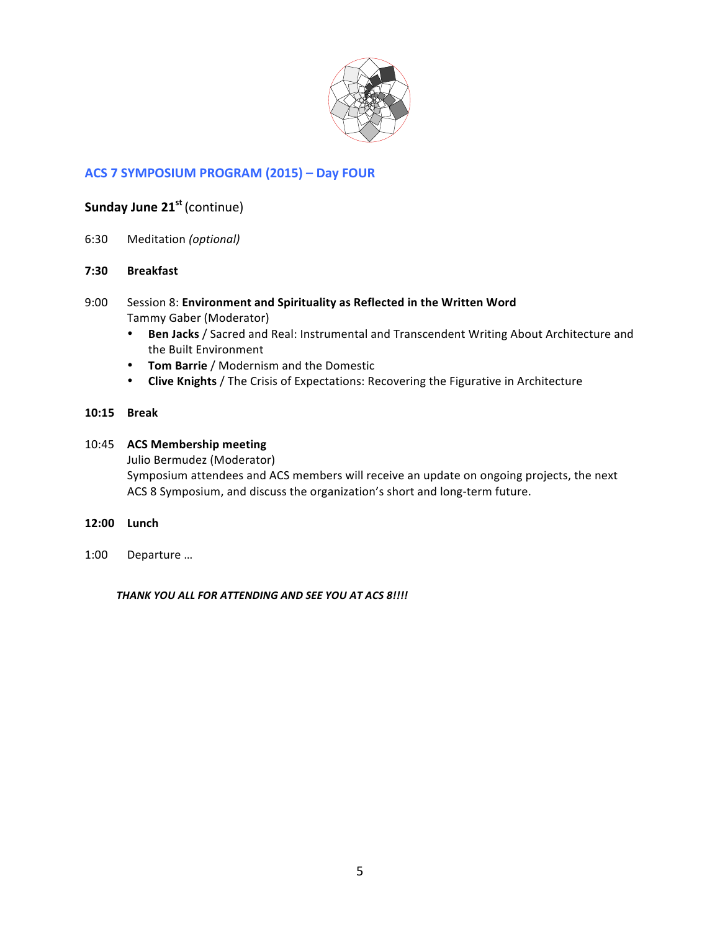

# **ACS 7 SYMPOSIUM PROGRAM (2015) – Day FOUR**

# **Sunday June 21<sup>st</sup> (continue)**

- 6:30 Meditation"*(optional)*
- **7:30 Breakfast\$**
- 9:00 Session 8: **Environment and Spirituality as Reflected in the Written Word** Tammy Gaber (Moderator)
	- **Ben Jacks** / Sacred and Real: Instrumental and Transcendent Writing About Architecture and the Built Environment
	- **Tom Barrie** / Modernism and the Domestic
	- Clive Knights / The Crisis of Expectations: Recovering the Figurative in Architecture

### **10:15 Break**

# 10:45 ACS Membership meeting

Julio Bermudez (Moderator)

Symposium attendees and ACS members will receive an update on ongoing projects, the next ACS 8 Symposium, and discuss the organization's short and long-term future.

- **12:00 Lunch\$**
- 1:00 Departure ...

THANK YOU ALL FOR ATTENDING AND SEE YOU AT ACS 8!!!!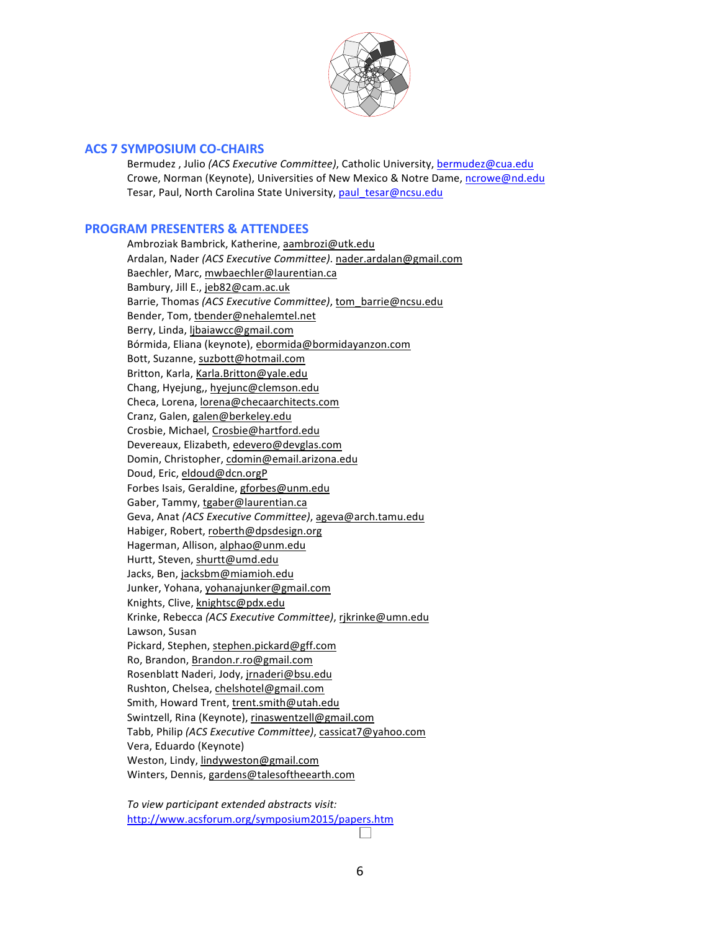

### **ACS 7 SYMPOSIUM CO-CHAIRS**

Bermudez, Julio *(ACS Executive Committee)*, Catholic University, bermudez@cua.edu Crowe, Norman (Keynote), Universities of New Mexico & Notre Dame, ncrowe@nd.edu Tesar, Paul, North Carolina State University, paul\_tesar@ncsu.edu

### **PROGRAM PRESENTERS & ATTENDEES**

Ambroziak Bambrick, Katherine, aambrozi@utk.edu Ardalan, Nader *(ACS Executive Committee)*. nader.ardalan@gmail.com Baechler, Marc, mwbaechler@laurentian.ca Bambury, Jill E., jeb82@cam.ac.uk Barrie, Thomas *(ACS Executive Committee)*, tom\_barrie@ncsu.edu Bender, Tom, tbender@nehalemtel.net Berry,"Linda,"ljbaiawcc@gmail.com Bórmida, Eliana (keynote), ebormida@bormidayanzon.com Bott, Suzanne, suzbott@hotmail.com Britton, Karla, Karla.Britton@yale.edu Chang, Hyejung,, hyejunc@clemson.edu Checa,"Lorena,"lorena@checaarchitects.com Cranz, Galen, galen@berkeley.edu Crosbie, Michael, Crosbie@hartford.edu Devereaux, Elizabeth, edevero@devglas.com Domin, Christopher, cdomin@email.arizona.edu Doud, Eric, eldoud@dcn.orgP Forbes Isais, Geraldine, gforbes@unm.edu Gaber, Tammy, tgaber@laurentian.ca Geva, Anat *(ACS Executive Committee)*, ageva@arch.tamu.edu Habiger, Robert, roberth@dpsdesign.org Hagerman, Allison, alphao@unm.edu Hurtt, Steven, shurtt@umd.edu Jacks, Ben, jacksbm@miamioh.edu Junker, Yohana, yohanajunker@gmail.com Knights,"Clive,"knightsc@pdx.edu Krinke, Rebecca (ACS Executive Committee), rikrinke@umn.edu Lawson, Susan Pickard, Stephen, stephen.pickard@gff.com Ro, Brandon, Brandon.r.ro@gmail.com Rosenblatt Naderi, Jody, jrnaderi@bsu.edu Rushton, Chelsea, chelshotel@gmail.com Smith, Howard Trent, trent.smith@utah.edu Swintzell, Rina (Keynote), rinaswentzell@gmail.com Tabb, Philip *(ACS Executive Committee)*, cassicat7@yahoo.com Vera, Eduardo (Keynote) Weston, Lindy, lindyweston@gmail.com Winters, Dennis, gardens@talesoftheearth.com

To view participant extended abstracts visit: http://www.acsforum.org/symposium2015/papers.htm